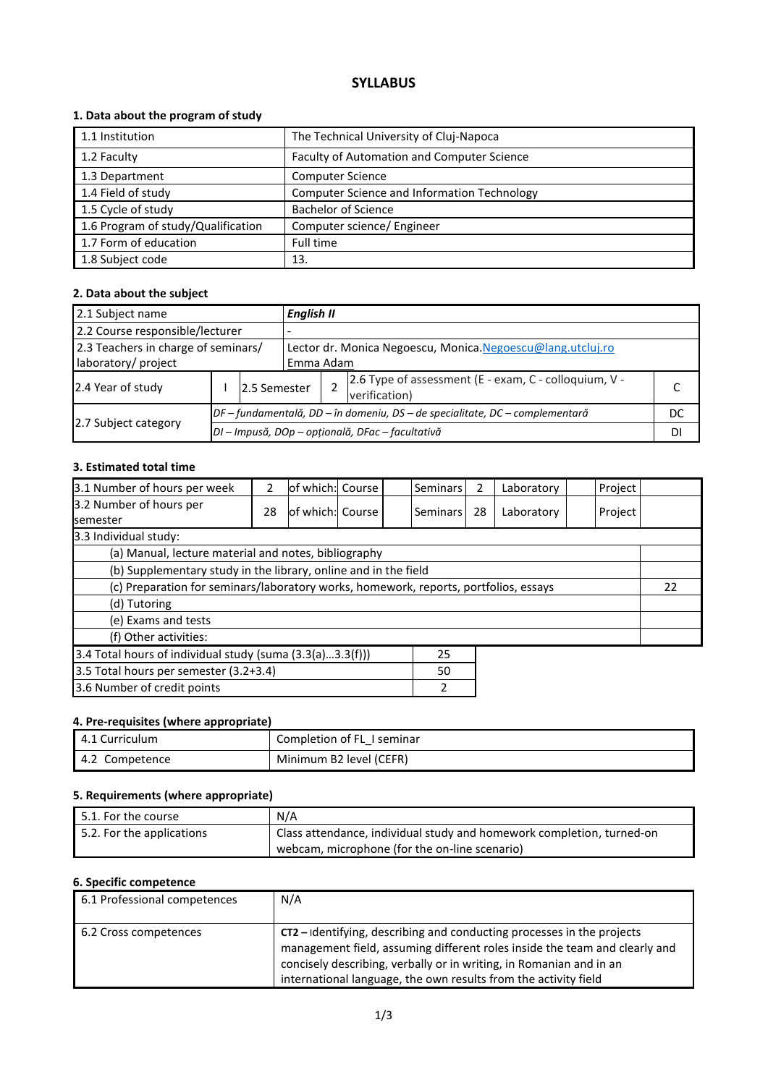# **SYLLABUS**

## **1. Data about the program of study**

| 1.1 Institution                    | The Technical University of Cluj-Napoca            |
|------------------------------------|----------------------------------------------------|
| 1.2 Faculty                        | Faculty of Automation and Computer Science         |
| 1.3 Department                     | <b>Computer Science</b>                            |
| 1.4 Field of study                 | <b>Computer Science and Information Technology</b> |
| 1.5 Cycle of study                 | <b>Bachelor of Science</b>                         |
| 1.6 Program of study/Qualification | Computer science/ Engineer                         |
| 1.7 Form of education              | Full time                                          |
| 1.8 Subject code                   | 13.                                                |

### **2. Data about the subject**

| 2.1 Subject name                    |  |                                                                                | <b>English II</b>                                          |           |                                                                        |  |  |  |
|-------------------------------------|--|--------------------------------------------------------------------------------|------------------------------------------------------------|-----------|------------------------------------------------------------------------|--|--|--|
| 2.2 Course responsible/lecturer     |  |                                                                                |                                                            |           |                                                                        |  |  |  |
| 2.3 Teachers in charge of seminars/ |  |                                                                                | Lector dr. Monica Negoescu, Monica Negoescu@lang.utcluj.ro |           |                                                                        |  |  |  |
| laboratory/ project                 |  |                                                                                |                                                            | Emma Adam |                                                                        |  |  |  |
| 2.4 Year of study                   |  | 2.5 Semester                                                                   |                                                            |           | 2.6 Type of assessment (E - exam, C - colloquium, V -<br>verification) |  |  |  |
|                                     |  | $DF$ – fundamentală, DD – în domeniu, DS – de specialitate, DC – complementară |                                                            |           |                                                                        |  |  |  |
| 2.7 Subject category                |  | DI - Impusă, DOp - opțională, DFac - facultativă                               |                                                            |           |                                                                        |  |  |  |

#### **3. Estimated total time**

| 3.1 Number of hours per week                                                         | 2  | lof which: Course |  |  | <b>Seminars</b> | 2  | Laboratory | Project |    |  |
|--------------------------------------------------------------------------------------|----|-------------------|--|--|-----------------|----|------------|---------|----|--|
| 3.2 Number of hours per<br><b>semester</b>                                           | 28 | of which: Course  |  |  | l Seminars l    | 28 | Laboratory | Project |    |  |
| 3.3 Individual study:                                                                |    |                   |  |  |                 |    |            |         |    |  |
| (a) Manual, lecture material and notes, bibliography                                 |    |                   |  |  |                 |    |            |         |    |  |
| (b) Supplementary study in the library, online and in the field                      |    |                   |  |  |                 |    |            |         |    |  |
| (c) Preparation for seminars/laboratory works, homework, reports, portfolios, essays |    |                   |  |  |                 |    |            |         | 22 |  |
| (d) Tutoring                                                                         |    |                   |  |  |                 |    |            |         |    |  |
| (e) Exams and tests                                                                  |    |                   |  |  |                 |    |            |         |    |  |
| (f) Other activities:                                                                |    |                   |  |  |                 |    |            |         |    |  |
| 3.4 Total hours of individual study (suma $(3.3(a)3.3(f)))$<br>25                    |    |                   |  |  |                 |    |            |         |    |  |
| 3.5 Total hours per semester (3.2+3.4)<br>50                                         |    |                   |  |  |                 |    |            |         |    |  |
| 3.6 Number of credit points<br>2                                                     |    |                   |  |  |                 |    |            |         |    |  |

### **4. Pre-requisites (where appropriate)**

| 4.1 Curriculum | Completion of FL 1 seminar |
|----------------|----------------------------|
| 4.2 Competence | Minimum B2 level (CEFR)    |

### **5. Requirements (where appropriate)**

| $\mid$ 5.1. For the course | N/A                                                                   |
|----------------------------|-----------------------------------------------------------------------|
| 5.2. For the applications  | Class attendance, individual study and homework completion, turned-on |
|                            | webcam, microphone (for the on-line scenario)                         |

# **6. Specific competence**

| 6.1 Professional competences | N/A                                                                                                                                                                                                                                                                                            |
|------------------------------|------------------------------------------------------------------------------------------------------------------------------------------------------------------------------------------------------------------------------------------------------------------------------------------------|
| 6.2 Cross competences        | CT2 - Identifying, describing and conducting processes in the projects<br>management field, assuming different roles inside the team and clearly and<br>concisely describing, verbally or in writing, in Romanian and in an<br>international language, the own results from the activity field |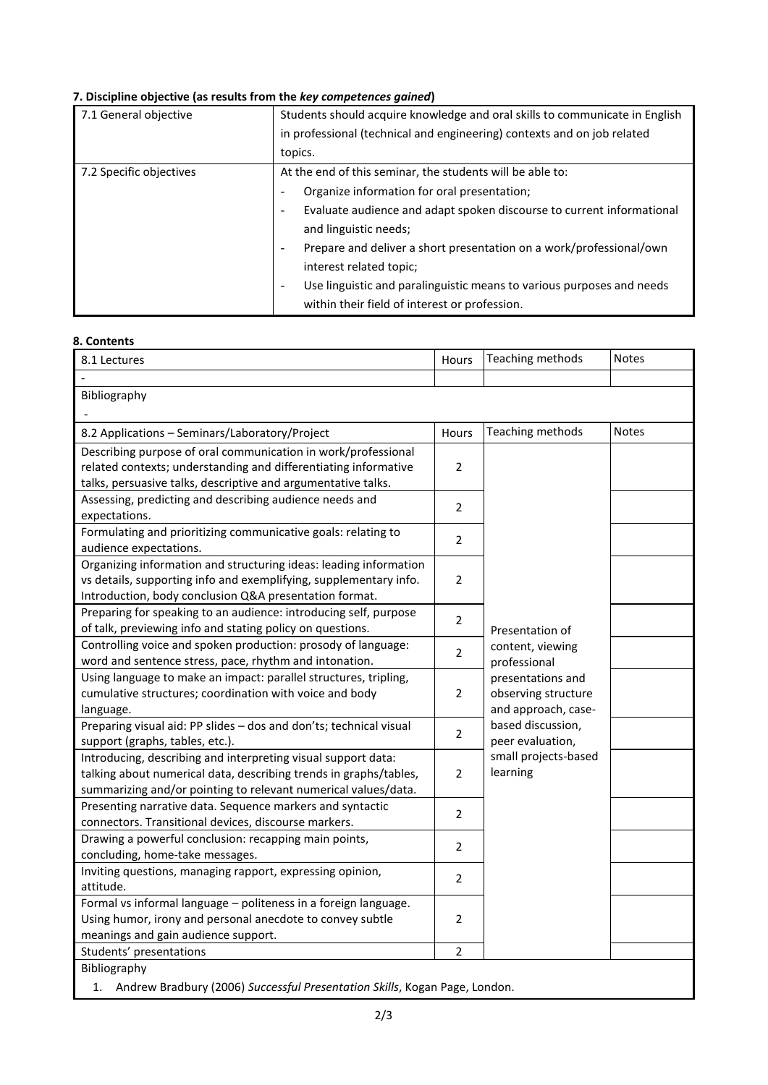# **7. Discipline objective (as results from the** *key competences gained***)**

| 7.1 General objective   | Students should acquire knowledge and oral skills to communicate in English                       |  |  |  |  |  |
|-------------------------|---------------------------------------------------------------------------------------------------|--|--|--|--|--|
|                         | in professional (technical and engineering) contexts and on job related                           |  |  |  |  |  |
|                         | topics.                                                                                           |  |  |  |  |  |
| 7.2 Specific objectives | At the end of this seminar, the students will be able to:                                         |  |  |  |  |  |
|                         | Organize information for oral presentation;<br>-                                                  |  |  |  |  |  |
|                         | Evaluate audience and adapt spoken discourse to current informational<br>$\overline{\phantom{a}}$ |  |  |  |  |  |
|                         | and linguistic needs;                                                                             |  |  |  |  |  |
|                         | Prepare and deliver a short presentation on a work/professional/own<br>$\overline{\phantom{a}}$   |  |  |  |  |  |
|                         | interest related topic;                                                                           |  |  |  |  |  |
|                         | Use linguistic and paralinguistic means to various purposes and needs<br>-                        |  |  |  |  |  |
|                         | within their field of interest or profession.                                                     |  |  |  |  |  |

#### **8. Contents**

| 8.1 Lectures                                                                  | Hours          | Teaching methods        | <b>Notes</b> |  |  |  |
|-------------------------------------------------------------------------------|----------------|-------------------------|--------------|--|--|--|
|                                                                               |                |                         |              |  |  |  |
| Bibliography                                                                  |                |                         |              |  |  |  |
|                                                                               |                |                         |              |  |  |  |
| 8.2 Applications - Seminars/Laboratory/Project                                | Hours          | <b>Teaching methods</b> | <b>Notes</b> |  |  |  |
| Describing purpose of oral communication in work/professional                 |                |                         |              |  |  |  |
| related contexts; understanding and differentiating informative               | $\overline{2}$ |                         |              |  |  |  |
| talks, persuasive talks, descriptive and argumentative talks.                 |                |                         |              |  |  |  |
| Assessing, predicting and describing audience needs and                       | $\overline{2}$ |                         |              |  |  |  |
| expectations.                                                                 |                |                         |              |  |  |  |
| Formulating and prioritizing communicative goals: relating to                 | $\overline{2}$ |                         |              |  |  |  |
| audience expectations.                                                        |                |                         |              |  |  |  |
| Organizing information and structuring ideas: leading information             |                |                         |              |  |  |  |
| vs details, supporting info and exemplifying, supplementary info.             | $\overline{2}$ |                         |              |  |  |  |
| Introduction, body conclusion Q&A presentation format.                        |                |                         |              |  |  |  |
| Preparing for speaking to an audience: introducing self, purpose              | $\overline{2}$ |                         |              |  |  |  |
| of talk, previewing info and stating policy on questions.                     |                | Presentation of         |              |  |  |  |
| Controlling voice and spoken production: prosody of language:                 | $\overline{2}$ | content, viewing        |              |  |  |  |
| word and sentence stress, pace, rhythm and intonation.                        |                | professional            |              |  |  |  |
| Using language to make an impact: parallel structures, tripling,              |                | presentations and       |              |  |  |  |
| cumulative structures; coordination with voice and body                       | $\overline{2}$ | observing structure     |              |  |  |  |
| language.                                                                     |                | and approach, case-     |              |  |  |  |
| Preparing visual aid: PP slides - dos and don'ts; technical visual            | $\overline{2}$ | based discussion,       |              |  |  |  |
| support (graphs, tables, etc.).                                               |                | peer evaluation,        |              |  |  |  |
| Introducing, describing and interpreting visual support data:                 |                | small projects-based    |              |  |  |  |
| talking about numerical data, describing trends in graphs/tables,             | $\overline{2}$ | learning                |              |  |  |  |
| summarizing and/or pointing to relevant numerical values/data.                |                |                         |              |  |  |  |
| Presenting narrative data. Sequence markers and syntactic                     | $\overline{2}$ |                         |              |  |  |  |
| connectors. Transitional devices, discourse markers.                          |                |                         |              |  |  |  |
| Drawing a powerful conclusion: recapping main points,                         | 2              |                         |              |  |  |  |
| concluding, home-take messages.                                               |                |                         |              |  |  |  |
| Inviting questions, managing rapport, expressing opinion,                     | $\overline{2}$ |                         |              |  |  |  |
| attitude.                                                                     |                |                         |              |  |  |  |
| Formal vs informal language - politeness in a foreign language.               |                |                         |              |  |  |  |
| Using humor, irony and personal anecdote to convey subtle                     | $\overline{2}$ |                         |              |  |  |  |
| meanings and gain audience support.                                           | $\overline{2}$ |                         |              |  |  |  |
| Students' presentations                                                       |                |                         |              |  |  |  |
| Bibliography                                                                  |                |                         |              |  |  |  |
| 1. Andrew Bradbury (2006) Successful Presentation Skills, Kogan Page, London. |                |                         |              |  |  |  |